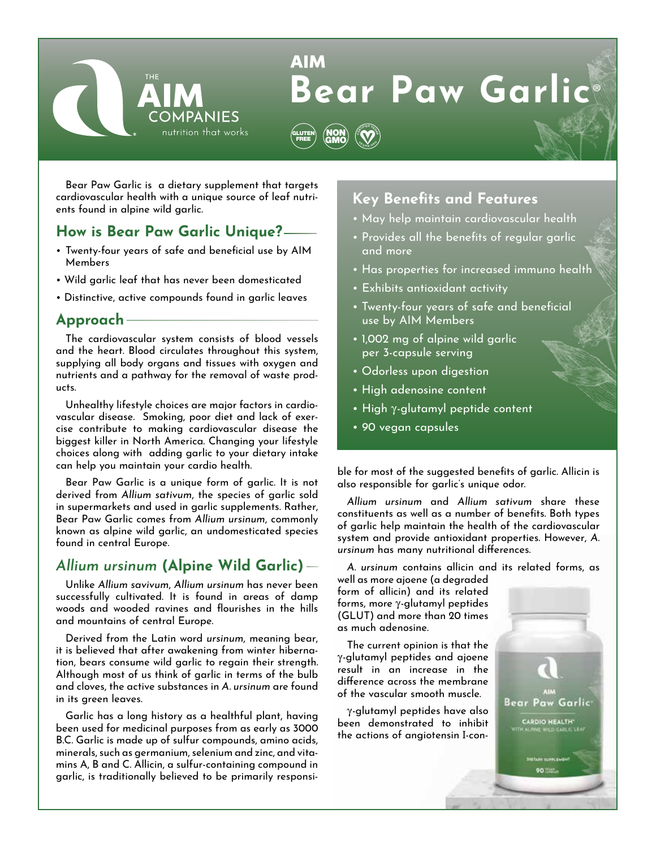

# **AIM Bear Paw Garlic**®



Bear Paw Garlic is a dietary supplement that targets cardiovascular health with a unique source of leaf nutrients found in alpine wild garlic.

## **How is Bear Paw Garlic Unique?**

- • Twenty-four years of safe and beneficial use by AIM Members
- Wild garlic leaf that has never been domesticated
- Distinctive, active compounds found in garlic leaves

### **Approach**

The cardiovascular system consists of blood vessels and the heart. Blood circulates throughout this system, supplying all body organs and tissues with oxygen and nutrients and a pathway for the removal of waste products.

Unhealthy lifestyle choices are major factors in cardiovascular disease. Smoking, poor diet and lack of exercise contribute to making cardiovascular disease the biggest killer in North America. Changing your lifestyle choices along with adding garlic to your dietary intake can help you maintain your cardio health.

Bear Paw Garlic is a unique form of garlic. It is not derived from *Allium sativum*, the species of garlic sold in supermarkets and used in garlic supplements. Rather, Bear Paw Garlic comes from *Allium ursinum*, commonly known as alpine wild garlic, an undomesticated species found in central Europe.

# *Allium ursinum* **(Alpine Wild Garlic)**

Unlike *Allium savivum*, *Allium ursinum* has never been successfully cultivated. It is found in areas of damp woods and wooded ravines and flourishes in the hills and mountains of central Europe.

Derived from the Latin word *ursinum*, meaning bear, it is believed that after awakening from winter hibernation, bears consume wild garlic to regain their strength. Although most of us think of garlic in terms of the bulb and cloves, the active substances in *A. ursinum* are found in its green leaves.

Garlic has a long history as a healthful plant, having been used for medicinal purposes from as early as 3000 B.C. Garlic is made up of sulfur compounds, amino acids, minerals, such as germanium, selenium and zinc, and vitamins A, B and C. Allicin, a sulfur-containing compound in garlic, is traditionally believed to be primarily responsi-

# **Key Benefits and Features**

- May help maintain cardiovascular health
- Provides all the benefits of regular garlic and more
- Has properties for increased immuno health
- Exhibits antioxidant activity
- Twenty-four years of safe and beneficial use by AIM Members
- 1,002 mg of alpine wild garlic per 3-capsule serving
- Odorless upon digestion
- High adenosine content
- High  $\gamma$ -glutamyl peptide content
- 90 vegan capsules

ble for most of the suggested benefits of garlic. Allicin is also responsible for garlic's unique odor.

*Allium ursinum* and *Allium sativum* share these constituents as well as a number of benefits. Both types of garlic help maintain the health of the cardiovascular system and provide antioxidant properties. However, *A. ursinum* has many nutritional differences.

*A. ursinum* contains allicin and its related forms, as

well as more ajoene (a degraded form of allicin) and its related forms, more  $\gamma$ -glutamyl peptides (GLUT) and more than 20 times as much adenosine.

The current opinion is that the -glutamyl peptides and ajoene result in an increase in the difference across the membrane of the vascular smooth muscle.

-glutamyl peptides have also been demonstrated to inhibit the actions of angiotensin I-con-